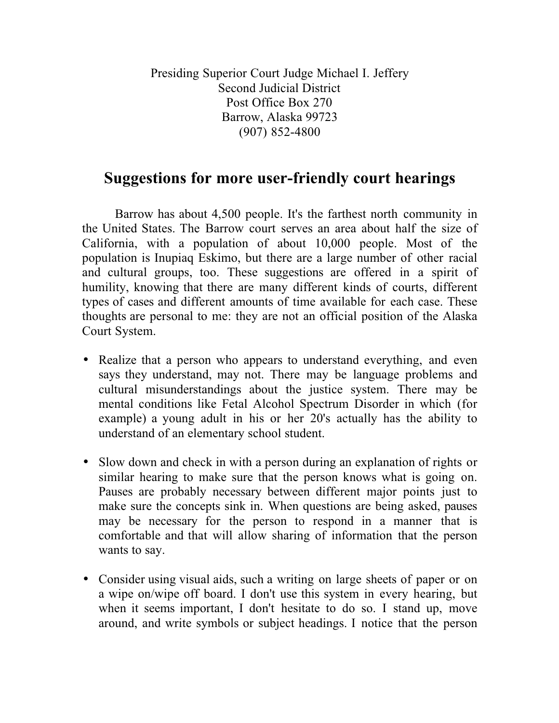Presiding Superior Court Judge Michael I. Jeffery Second Judicial District Post Office Box 270 Barrow, Alaska 99723 (907) 852-4800

## **Suggestions for more user-friendly court hearings**

Barrow has about 4,500 people. It's the farthest north community in the United States. The Barrow court serves an area about half the size of California, with a population of about 10,000 people. Most of the population is Inupiaq Eskimo, but there are a large number of other racial and cultural groups, too. These suggestions are offered in a spirit of humility, knowing that there are many different kinds of courts, different types of cases and different amounts of time available for each case. These thoughts are personal to me: they are not an official position of the Alaska Court System.

- Realize that a person who appears to understand everything, and even says they understand, may not. There may be language problems and cultural misunderstandings about the justice system. There may be mental conditions like Fetal Alcohol Spectrum Disorder in which (for example) a young adult in his or her 20's actually has the ability to understand of an elementary school student.
- Slow down and check in with a person during an explanation of rights or similar hearing to make sure that the person knows what is going on. Pauses are probably necessary between different major points just to make sure the concepts sink in. When questions are being asked, pauses may be necessary for the person to respond in a manner that is comfortable and that will allow sharing of information that the person wants to say.
- Consider using visual aids, such a writing on large sheets of paper or on a wipe on/wipe off board. I don't use this system in every hearing, but when it seems important, I don't hesitate to do so. I stand up, move around, and write symbols or subject headings. I notice that the person